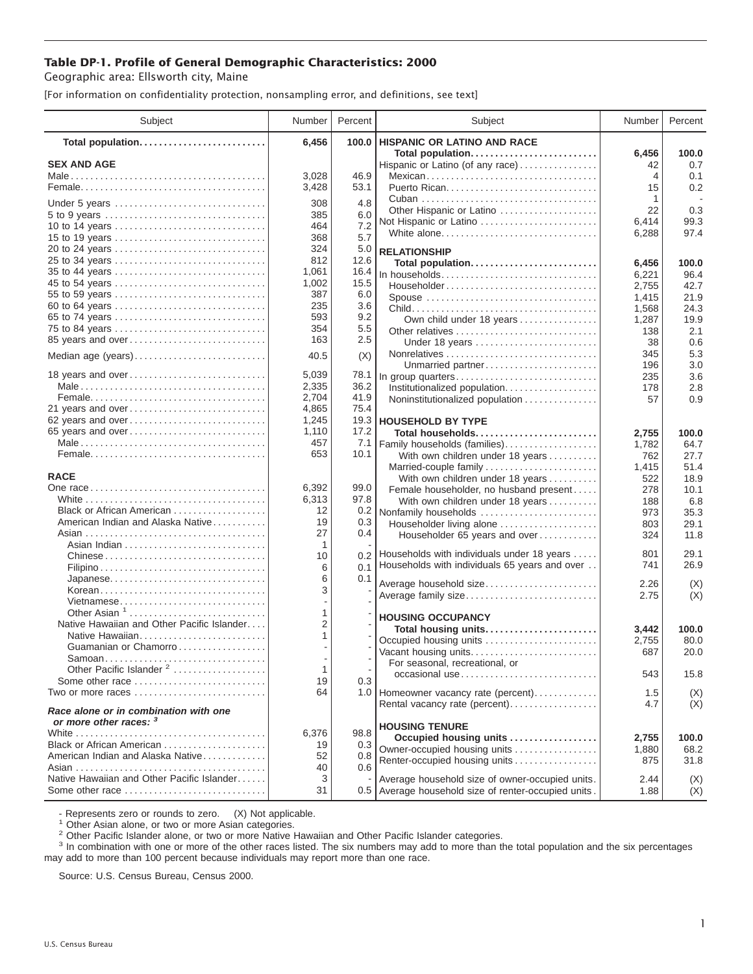## **Table DP-1. Profile of General Demographic Characteristics: 2000**

Geographic area: Ellsworth city, Maine

[For information on confidentiality protection, nonsampling error, and definitions, see text]

| Subject                                                                    | Number         | Percent      | Subject                                              | Number         | Percent       |
|----------------------------------------------------------------------------|----------------|--------------|------------------------------------------------------|----------------|---------------|
| Total population                                                           | 6,456          | 100.0        | <b>HISPANIC OR LATINO AND RACE</b>                   |                |               |
| <b>SEX AND AGE</b>                                                         |                |              | Total population<br>Hispanic or Latino (of any race) | 6,456<br>42    | 100.0<br>0.7  |
|                                                                            | 3,028          | 46.9         | Mexican                                              | 4              | 0.1           |
|                                                                            | 3,428          | 53.1         |                                                      | 15             | 0.2           |
| Under 5 years                                                              | 308            | 4.8          |                                                      | 1              |               |
|                                                                            | 385            | 6.0          | Other Hispanic or Latino                             | 22             | 0.3           |
| 10 to 14 years                                                             | 464            | 7.2          | Not Hispanic or Latino                               | 6,414          | 99.3          |
| 15 to 19 years                                                             | 368            | 5.7          | White alone                                          | 6,288          | 97.4          |
|                                                                            | 324            | 5.0          | <b>RELATIONSHIP</b>                                  |                |               |
| 25 to 34 years                                                             | 812            | 12.6         | Total population                                     | 6,456          | 100.0         |
| 35 to 44 years                                                             | 1,061          | 16.4         | In households                                        | 6,221          | 96.4          |
| 45 to 54 years<br>55 to 59 years                                           | 1,002<br>387   | 15.5<br>6.0  | Householder                                          | 2,755          | 42.7          |
| 60 to 64 years                                                             | 235            | 3.6          | Spouse                                               | 1,415          | 21.9          |
| 65 to 74 years                                                             | 593            | 9.2          | Own child under 18 years                             | 1,568<br>1,287 | 24.3<br>19.9  |
| 75 to 84 years                                                             | 354            | 5.5          |                                                      | 138            | 2.1           |
| 85 years and over                                                          | 163            | 2.5          | Under 18 years                                       | 38             | 0.6           |
| Median age (years)                                                         | 40.5           | (X)          |                                                      | 345            | 5.3           |
|                                                                            |                |              | Unmarried partner                                    | 196            | 3.0           |
| 18 years and over                                                          | 5,039          | 78.1         | In group quarters                                    | 235            | 3.6           |
|                                                                            | 2,335          | 36.2         | Institutionalized population                         | 178            | 2.8           |
|                                                                            | 2,704          | 41.9         | Noninstitutionalized population                      | 57             | 0.9           |
| 21 years and over                                                          | 4,865          | 75.4<br>19.3 |                                                      |                |               |
| 62 years and over<br>65 years and over                                     | 1,245<br>1,110 | 17.2         | <b>HOUSEHOLD BY TYPE</b>                             |                |               |
|                                                                            | 457            | 7.1          | Total households<br>Family households (families)     | 2,755<br>1,782 | 100.0<br>64.7 |
|                                                                            | 653            | 10.1         | With own children under 18 years                     | 762            | 27.7          |
|                                                                            |                |              | Married-couple family                                | 1,415          | 51.4          |
| <b>RACE</b>                                                                |                |              | With own children under 18 years                     | 522            | 18.9          |
|                                                                            | 6,392          | 99.0         | Female householder, no husband present               | 278            | 10.1          |
|                                                                            | 6,313          | 97.8         | With own children under 18 years                     | 188            | 6.8           |
| Black or African American                                                  | 12             | 0.2          | Nonfamily households                                 | 973            | 35.3          |
| American Indian and Alaska Native                                          | 19<br>27       | 0.3<br>0.4   | Householder living alone                             | 803            | 29.1          |
|                                                                            | 1              |              | Householder 65 years and over                        | 324            | 11.8          |
| Chinese                                                                    | 10             | 0.2          | Households with individuals under 18 years           | 801            | 29.1          |
|                                                                            | 6              | 0.1          | Households with individuals 65 years and over        | 741            | 26.9          |
| Japanese                                                                   | 6              | 0.1          | Average household size                               | 2.26           |               |
| Korean                                                                     | 3              |              | Average family size                                  | 2.75           | (X)<br>(X)    |
| Vietnamese                                                                 |                |              |                                                      |                |               |
| Other Asian $1, \ldots, \ldots, \ldots, \ldots, \ldots, \ldots$            | 1              |              | <b>HOUSING OCCUPANCY</b>                             |                |               |
| Native Hawaiian and Other Pacific Islander                                 | 2<br>1         |              | Total housing units                                  | 3,442          | 100.0         |
| Native Hawaiian<br>Guamanian or Chamorro                                   |                |              | Occupied housing units                               | 2,755          | 80.0          |
| Samoan                                                                     |                |              | Vacant housing units                                 | 687            | 20.0          |
| Other Pacific Islander <sup>2</sup>                                        | $\mathbf{1}$   |              | For seasonal, recreational, or                       |                |               |
| Some other race $\ldots, \ldots, \ldots, \ldots, \ldots, \ldots$           | 19             | 0.3          | occasional use                                       | 543            | 15.8          |
| Two or more races $\ldots, \ldots, \ldots, \ldots, \ldots, \ldots, \ldots$ | 64             |              | 1.0 Homeowner vacancy rate (percent)                 | 1.5            | (X)           |
| Race alone or in combination with one                                      |                |              | Rental vacancy rate (percent)                        | 4.7            | (X)           |
| or more other races: 3                                                     |                |              | <b>HOUSING TENURE</b>                                |                |               |
|                                                                            | 6,376          | 98.8         | Occupied housing units                               | 2,755          | 100.0         |
| Black or African American<br>American Indian and Alaska Native             | 19<br>52       | 0.3<br>0.8   | Owner-occupied housing units                         | 1,880          | 68.2          |
|                                                                            | 40             | 0.6          | Renter-occupied housing units                        | 875            | 31.8          |
| Native Hawaiian and Other Pacific Islander                                 | 3              |              | Average household size of owner-occupied units.      | 2.44           | (X)           |
| Some other race                                                            | 31             |              | 0.5 Average household size of renter-occupied units. | 1.88           | (X)           |

- Represents zero or rounds to zero. (X) Not applicable.<br><sup>1</sup> Other Asian alone, or two or more Asian categories.

<sup>2</sup> Other Pacific Islander alone, or two or more Native Hawaiian and Other Pacific Islander categories.<br><sup>3</sup> In combination with one or more of the other races listed. The six numbers may add to more than the total populati may add to more than 100 percent because individuals may report more than one race.

Source: U.S. Census Bureau, Census 2000.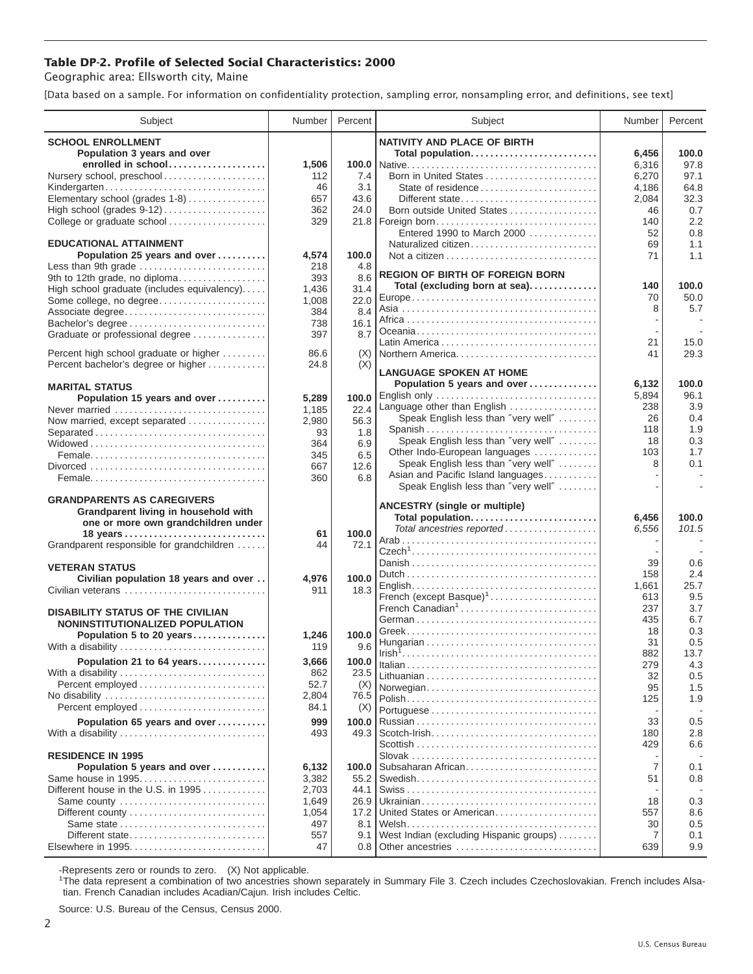## **Table DP-2. Profile of Selected Social Characteristics: 2000**

Geographic area: Ellsworth city, Maine

[Data based on a sample. For information on confidentiality protection, sampling error, nonsampling error, and definitions, see text]

| Subject                                                 | Number        | Percent      | Subject                                                       | Number         | Percent                  |
|---------------------------------------------------------|---------------|--------------|---------------------------------------------------------------|----------------|--------------------------|
| <b>SCHOOL ENROLLMENT</b>                                |               |              | <b>NATIVITY AND PLACE OF BIRTH</b>                            |                |                          |
| Population 3 years and over                             |               |              | Total population                                              | 6,456          | 100.0                    |
| enrolled in school                                      | 1,506         | 100.0        |                                                               | 6,316          | 97.8                     |
| Nursery school, preschool                               | 112           | 7.4          | Born in United States                                         | 6,270          | 97.1                     |
| Kindergarten                                            | 46            | 3.1          | State of residence                                            | 4,186          | 64.8                     |
| Elementary school (grades 1-8)                          | 657<br>362    | 43.6<br>24.0 | Different state<br>Born outside United States                 | 2,084          | 32.3                     |
| High school (grades 9-12)<br>College or graduate school | 329           |              | 21.8   Foreign born                                           | 46<br>140      | 0.7<br>2.2               |
|                                                         |               |              | Entered 1990 to March 2000                                    | 52             | 0.8                      |
| <b>EDUCATIONAL ATTAINMENT</b>                           |               |              | Naturalized citizen                                           | 69             | 1.1                      |
| Population 25 years and over                            | 4,574         | 100.0        |                                                               | 71             | 1.1                      |
| Less than 9th grade                                     | 218           | 4.8          |                                                               |                |                          |
| 9th to 12th grade, no diploma                           | 393           | 8.6          | <b>REGION OF BIRTH OF FOREIGN BORN</b>                        |                |                          |
| High school graduate (includes equivalency)             | 1,436         | 31.4         | Total (excluding born at sea)                                 | 140<br>70      | 100.0<br>50.0            |
| Some college, no degree                                 | 1,008         | 22.0         |                                                               | 8              | 5.7                      |
| Associate degree                                        | 384<br>738    | 8.4<br>16.1  |                                                               |                |                          |
| Bachelor's degree<br>Graduate or professional degree    | 397           | 8.7          |                                                               |                |                          |
|                                                         |               |              |                                                               | 21             | 15.0                     |
| Percent high school graduate or higher                  | 86.6          | (X)          | Northern America                                              | 41             | 29.3                     |
| Percent bachelor's degree or higher                     | 24.8          | (X)          |                                                               |                |                          |
|                                                         |               |              | <b>LANGUAGE SPOKEN AT HOME</b><br>Population 5 years and over | 6,132          | 100.0                    |
| <b>MARITAL STATUS</b>                                   |               |              | English only                                                  | 5,894          | 96.1                     |
| Population 15 years and over                            | 5,289         | 100.0        | Language other than English                                   | 238            | 3.9                      |
| Never married                                           | 1,185         | 22.4         | Speak English less than "very well"                           | 26             | 0.4                      |
| Now married, except separated                           | 2,980<br>93   | 56.3<br>1.8  | Spanish                                                       | 118            | 1.9                      |
| Separated                                               | 364           | 6.9          | Speak English less than "very well"                           | 18             | 0.3                      |
|                                                         | 345           | 6.5          | Other Indo-European languages                                 | 103            | 1.7                      |
|                                                         | 667           | 12.6         | Speak English less than "very well"                           | 8              | 0.1                      |
|                                                         | 360           | 6.8          | Asian and Pacific Island languages                            |                | $\overline{\phantom{a}}$ |
|                                                         |               |              | Speak English less than "very well"                           |                |                          |
| <b>GRANDPARENTS AS CAREGIVERS</b>                       |               |              | <b>ANCESTRY</b> (single or multiple)                          |                |                          |
| Grandparent living in household with                    |               |              | Total population                                              | 6,456          | 100.0                    |
| one or more own grandchildren under<br>18 years         | 61            | 100.0        | Total ancestries reported                                     | 6,556          | 101.5                    |
| Grandparent responsible for grandchildren               | 44            | 72.1         |                                                               |                |                          |
|                                                         |               |              |                                                               |                |                          |
| <b>VETERAN STATUS</b>                                   |               |              |                                                               | 39             | 0.6                      |
| Civilian population 18 years and over                   | 4,976         | 100.0        |                                                               | 158            | 2.4                      |
| Civilian veterans                                       | 911           | 18.3         | French (except Basque) <sup>1</sup>                           | 1,661<br>613   | 25.7<br>9.5              |
|                                                         |               |              | French Canadian <sup>1</sup>                                  | 237            | 3.7                      |
| <b>DISABILITY STATUS OF THE CIVILIAN</b>                |               |              |                                                               | 435            | 6.7                      |
| NONINSTITUTIONALIZED POPULATION                         |               |              |                                                               | 18             | 0.3                      |
| Population 5 to 20 years                                | 1,246<br>119  | 100.0<br>9.6 |                                                               | 31             | 0.5                      |
| With a disability                                       |               |              |                                                               | 882            | 13.7                     |
| Population 21 to 64 years                               | 3,666         | 100.0        |                                                               | 279            | 4.3                      |
| With a disability                                       | 862           | 23.5         |                                                               | 32             | 0.5                      |
|                                                         | 52.7          | (X)          | Norwegian                                                     | 95             | 1.5                      |
| No disability                                           | 2,804<br>84.1 | 76.5         |                                                               | 125            | 1.9                      |
|                                                         |               | (X)          |                                                               |                |                          |
| Population 65 years and over                            | 999           | 100.0        |                                                               | 33             | 0.5                      |
| With a disability                                       | 493           | 49.3         |                                                               | 180            | 2.8                      |
| <b>RESIDENCE IN 1995</b>                                |               |              |                                                               | 429            | 6.6                      |
| Population 5 years and over                             | 6,132         | 100.0        | Subsaharan African                                            | $\overline{7}$ | 0.1                      |
| Same house in 1995                                      | 3,382         | 55.2         |                                                               | 51             | 0.8                      |
| Different house in the U.S. in $1995$                   | 2,703         | 44.1         |                                                               |                |                          |
| Same county                                             | 1,649         | 26.9         |                                                               | 18             | 0.3                      |
| Different county                                        | 1,054         | 17.2         | United States or American                                     | 557            | 8.6                      |
| Same state                                              | 497           | 8.1          |                                                               | 30             | 0.5                      |
| Different state                                         | 557           | 9.1          | West Indian (excluding Hispanic groups)                       | 7              | 0.1                      |
| Elsewhere in 1995                                       | 47            | 0.8          | Other ancestries                                              | 639            | 9.9                      |

-Represents zero or rounds to zero. (X) Not applicable. 1 The data represent a combination of two ancestries shown separately in Summary File 3. Czech includes Czechoslovakian. French includes Alsatian. French Canadian includes Acadian/Cajun. Irish includes Celtic.

Source: U.S. Bureau of the Census, Census 2000.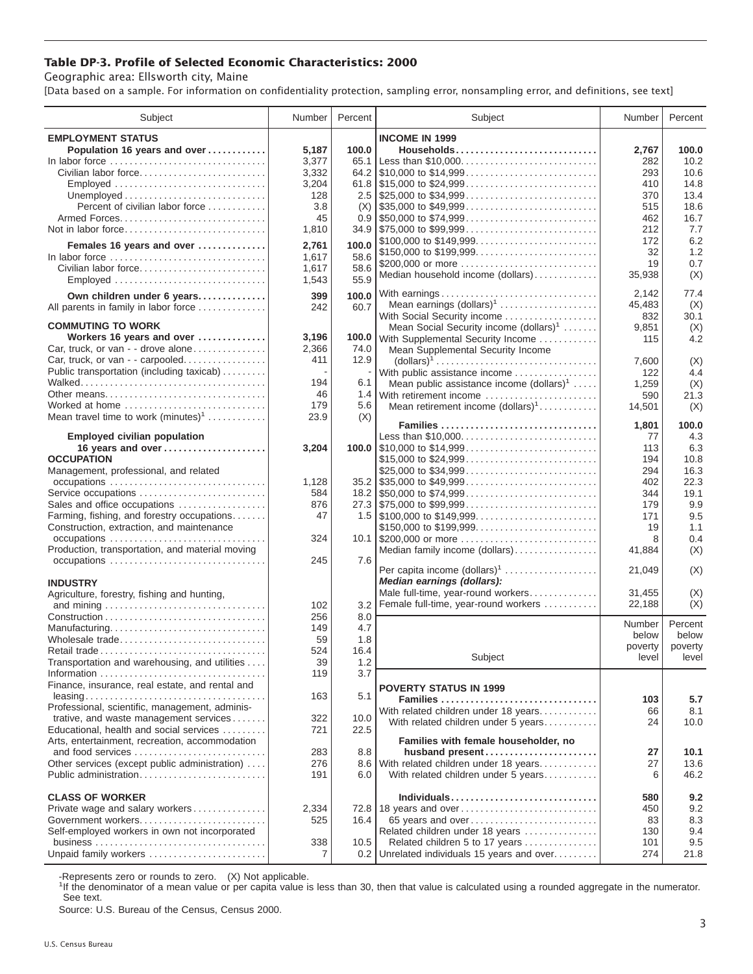## **Table DP-3. Profile of Selected Economic Characteristics: 2000**

Geographic area: Ellsworth city, Maine

[Data based on a sample. For information on confidentiality protection, sampling error, nonsampling error, and definitions, see text]

| Subject                                                                                 | Number     | Percent    | Subject                                                                                | Number           | Percent      |
|-----------------------------------------------------------------------------------------|------------|------------|----------------------------------------------------------------------------------------|------------------|--------------|
| <b>EMPLOYMENT STATUS</b>                                                                |            |            | <b>INCOME IN 1999</b>                                                                  |                  |              |
| Population 16 years and over                                                            | 5,187      | 100.0      | Households                                                                             | 2,767            | 100.0        |
| In labor force                                                                          | 3,377      | 65.1       | Less than \$10,000                                                                     | 282              | 10.2         |
| Civilian labor force                                                                    | 3,332      |            | 64.2 \$10,000 to \$14,999                                                              | 293              | 10.6         |
| Employed                                                                                | 3,204      |            |                                                                                        | 410              | 14.8         |
|                                                                                         | 128        |            | $2.5$ \\ \$25,000 to \$34,999                                                          | 370              | 13.4         |
| Percent of civilian labor force                                                         | 3.8        | (X)        | $\frac{1}{335,000}$ to $\frac{249,999}{20000}$                                         | 515              | 18.6         |
|                                                                                         | 45         |            | $0.9$ \\$50,000 to \$74,999                                                            | 462              | 16.7         |
| Not in labor force                                                                      | 1,810      |            |                                                                                        | 212              | 7.7          |
| Females 16 years and over                                                               | 2,761      | 100.0      | \$100,000 to \$149,999                                                                 | 172              | 6.2          |
| In labor force                                                                          | 1,617      | 58.6       | \$150,000 to \$199,999                                                                 | 32               | 1.2          |
| Civilian labor force                                                                    | 1,617      | 58.6       | \$200,000 or more                                                                      | 19               | 0.7          |
|                                                                                         | 1,543      | 55.9       | Median household income (dollars)                                                      | 35,938           | (X)          |
|                                                                                         |            |            | With earnings                                                                          | 2,142            | 77.4         |
| Own children under 6 years                                                              | 399        | 100.0      | Mean earnings (dollars) <sup>1</sup>                                                   | 45,483           | (X)          |
| All parents in family in labor force                                                    | 242        | 60.7       | With Social Security income                                                            | 832              | 30.1         |
| <b>COMMUTING TO WORK</b>                                                                |            |            | Mean Social Security income (dollars) <sup>1</sup>                                     | 9,851            | (X)          |
| Workers 16 years and over                                                               | 3,196      | 100.0      | With Supplemental Security Income                                                      | 115              | 4.2          |
| Car, truck, or van - - drove alone                                                      | 2,366      | 74.0       | Mean Supplemental Security Income                                                      |                  |              |
| Car, truck, or van - - carpooled                                                        | 411        | 12.9       | $\text{(dollars)}^1 \dots \dots \dots \dots \dots \dots \dots \dots \dots \dots \dots$ | 7,600            | (X)          |
| Public transportation (including taxicab)                                               |            |            | With public assistance income                                                          | 122              | 4.4          |
|                                                                                         | 194        | 6.1        | Mean public assistance income $(dollars)1 \ldots$ .                                    | 1,259            | (X)          |
| Other means                                                                             | 46         |            | 1.4 With retirement income                                                             | 590              | 21.3         |
| Worked at home                                                                          | 179        | 5.6        | Mean retirement income $(dollars)1$                                                    | 14,501           | (X)          |
| Mean travel time to work $(minutes)^1$                                                  | 23.9       | (X)        | Families                                                                               |                  |              |
| <b>Employed civilian population</b>                                                     |            |            | Less than \$10,000                                                                     | 1,801<br>77      | 100.0<br>4.3 |
| 16 years and over                                                                       | 3,204      |            |                                                                                        | 113              | 6.3          |
| <b>OCCUPATION</b>                                                                       |            |            | \$15,000 to \$24,999                                                                   | 194              | 10.8         |
| Management, professional, and related                                                   |            |            | \$25,000 to \$34,999                                                                   | 294              | 16.3         |
|                                                                                         | 1,128      |            | $35.2$ \ \$35,000 to \$49,999                                                          | 402              | 22.3         |
| Service occupations                                                                     | 584        |            |                                                                                        | 344              | 19.1         |
| Sales and office occupations                                                            | 876        |            |                                                                                        | 179              | 9.9          |
| Farming, fishing, and forestry occupations                                              | 47         |            |                                                                                        | 171              | 9.5          |
| Construction, extraction, and maintenance                                               |            |            | \$150,000 to \$199,999                                                                 | 19               | 1.1          |
| occupations                                                                             | 324        |            | 10.1 \$200,000 or more                                                                 | 8                | 0.4          |
| Production, transportation, and material moving                                         |            |            | Median family income (dollars)                                                         | 41,884           | (X)          |
| occupations                                                                             | 245        | 7.6        |                                                                                        |                  |              |
|                                                                                         |            |            | Per capita income (dollars) <sup>1</sup>                                               | 21,049           | (X)          |
| <b>INDUSTRY</b>                                                                         |            |            | Median earnings (dollars):                                                             |                  |              |
| Agriculture, forestry, fishing and hunting,                                             |            |            | Male full-time, year-round workers<br>Female full-time, year-round workers             | 31.455<br>22,188 | (X)<br>(X)   |
|                                                                                         | 102        | 3.2        |                                                                                        |                  |              |
| Manufacturing                                                                           | 256<br>149 | 8.0<br>4.7 |                                                                                        | Number           | Percent      |
| Wholesale trade                                                                         | 59         | 1.8        |                                                                                        | below            | below        |
|                                                                                         | 524        | 16.4       |                                                                                        | poverty          | poverty      |
| Transportation and warehousing, and utilities                                           | 39         | 1.2        | Subject                                                                                | level            | level        |
|                                                                                         | 119        | 3.7        |                                                                                        |                  |              |
| Finance, insurance, real estate, and rental and                                         |            |            | <b>POVERTY STATUS IN 1999</b>                                                          |                  |              |
| $leasing \dots \dots \dots \dots \dots \dots \dots \dots \dots \dots \dots \dots \dots$ | 163        | 5.1        | Families                                                                               | 103              | 5.7          |
| Professional, scientific, management, adminis-                                          |            |            | With related children under 18 years                                                   | 66               | 8.1          |
| trative, and waste management services                                                  | 322        | 10.0       | With related children under 5 years                                                    | 24               | 10.0         |
| Educational, health and social services                                                 | 721        | 22.5       |                                                                                        |                  |              |
| Arts, entertainment, recreation, accommodation                                          |            |            | Families with female householder, no                                                   |                  |              |
| and food services                                                                       | 283        | 8.8        | husband present                                                                        | 27               | 10.1         |
| Other services (except public administration)                                           | 276        |            | 8.6 With related children under 18 years                                               | 27               | 13.6         |
| Public administration                                                                   | 191        | 6.0        | With related children under 5 years                                                    | 6                | 46.2         |
| <b>CLASS OF WORKER</b>                                                                  |            |            | Individuals                                                                            | 580              | 9.2          |
| Private wage and salary workers                                                         | 2,334      |            | 72.8 18 years and over                                                                 | 450              | 9.2          |
| Government workers                                                                      | 525        | 16.4       | 65 years and over                                                                      | 83               | 8.3          |
| Self-employed workers in own not incorporated                                           |            |            | Related children under 18 years                                                        | 130              | 9.4          |
|                                                                                         | 338        | 10.5       | Related children 5 to 17 years                                                         | 101              | 9.5          |
| Unpaid family workers                                                                   | 7          |            | 0.2 Unrelated individuals 15 years and over                                            | 274              | 21.8         |

-Represents zero or rounds to zero. (X) Not applicable.

<sup>1</sup>If the denominator of a mean value or per capita value is less than 30, then that value is calculated using a rounded aggregate in the numerator. See text.

Source: U.S. Bureau of the Census, Census 2000.